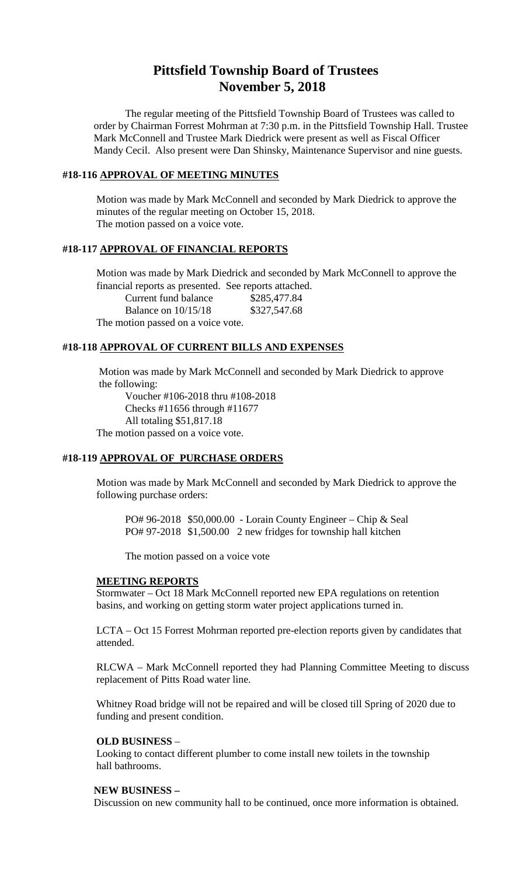# **Pittsfield Township Board of Trustees November 5, 2018**

The regular meeting of the Pittsfield Township Board of Trustees was called to order by Chairman Forrest Mohrman at 7:30 p.m. in the Pittsfield Township Hall. Trustee Mark McConnell and Trustee Mark Diedrick were present as well as Fiscal Officer Mandy Cecil. Also present were Dan Shinsky, Maintenance Supervisor and nine guests.

### **#18-116 APPROVAL OF MEETING MINUTES**

Motion was made by Mark McConnell and seconded by Mark Diedrick to approve the minutes of the regular meeting on October 15, 2018. The motion passed on a voice vote.

### **#18-117 APPROVAL OF FINANCIAL REPORTS**

Motion was made by Mark Diedrick and seconded by Mark McConnell to approve the financial reports as presented. See reports attached.

Current fund balance \$285,477.84 Balance on 10/15/18 \$327,547.68

The motion passed on a voice vote.

### **#18-118 APPROVAL OF CURRENT BILLS AND EXPENSES**

Motion was made by Mark McConnell and seconded by Mark Diedrick to approve the following:

Voucher #106-2018 thru #108-2018 Checks #11656 through #11677 All totaling \$51,817.18 The motion passed on a voice vote.

### **#18-119 APPROVAL OF PURCHASE ORDERS**

Motion was made by Mark McConnell and seconded by Mark Diedrick to approve the following purchase orders:

PO# 96-2018 \$50,000.00 - Lorain County Engineer – Chip & Seal PO# 97-2018 \$1,500.00 2 new fridges for township hall kitchen

The motion passed on a voice vote

#### **MEETING REPORTS**

Stormwater – Oct 18 Mark McConnell reported new EPA regulations on retention basins, and working on getting storm water project applications turned in.

LCTA – Oct 15 Forrest Mohrman reported pre-election reports given by candidates that attended.

RLCWA – Mark McConnell reported they had Planning Committee Meeting to discuss replacement of Pitts Road water line.

Whitney Road bridge will not be repaired and will be closed till Spring of 2020 due to funding and present condition.

#### **OLD BUSINESS** –

Looking to contact different plumber to come install new toilets in the township hall bathrooms.

#### **NEW BUSINESS –**

Discussion on new community hall to be continued, once more information is obtained.